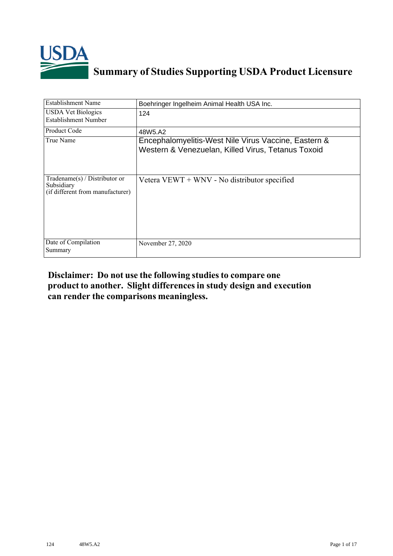

## **Summary of Studies Supporting USDA Product Licensure**

| <b>Establishment Name</b>                                                          | Boehringer Ingelheim Animal Health USA Inc.                                                                |
|------------------------------------------------------------------------------------|------------------------------------------------------------------------------------------------------------|
| <b>USDA Vet Biologics</b><br>Establishment Number                                  | 124                                                                                                        |
| Product Code                                                                       | 48W5.A2                                                                                                    |
| True Name                                                                          | Encephalomyelitis-West Nile Virus Vaccine, Eastern &<br>Western & Venezuelan, Killed Virus, Tetanus Toxoid |
| Tradename $(s)$ / Distributor or<br>Subsidiary<br>(if different from manufacturer) | Vetera $V E W T + W N V$ - No distributor specified                                                        |
| Date of Compilation<br>Summary                                                     | November 27, 2020                                                                                          |

## **Disclaimer: Do not use the following studiesto compare one product to another. Slight differencesin study design and execution can render the comparisons meaningless.**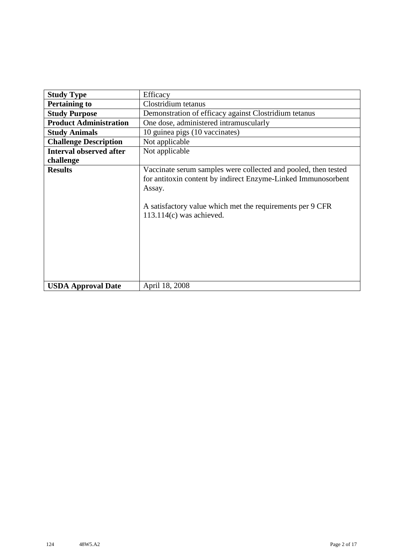| <b>Study Type</b>              | Efficacy                                                                                                                                                                                                                             |
|--------------------------------|--------------------------------------------------------------------------------------------------------------------------------------------------------------------------------------------------------------------------------------|
| <b>Pertaining to</b>           | Clostridium tetanus                                                                                                                                                                                                                  |
| <b>Study Purpose</b>           | Demonstration of efficacy against Clostridium tetanus                                                                                                                                                                                |
| <b>Product Administration</b>  | One dose, administered intramuscularly                                                                                                                                                                                               |
| <b>Study Animals</b>           | 10 guinea pigs (10 vaccinates)                                                                                                                                                                                                       |
| <b>Challenge Description</b>   | Not applicable                                                                                                                                                                                                                       |
| <b>Interval observed after</b> | Not applicable                                                                                                                                                                                                                       |
| challenge                      |                                                                                                                                                                                                                                      |
| <b>Results</b>                 | Vaccinate serum samples were collected and pooled, then tested<br>for antitoxin content by indirect Enzyme-Linked Immunosorbent<br>Assay.<br>A satisfactory value which met the requirements per 9 CFR<br>$113.114(c)$ was achieved. |
| <b>USDA Approval Date</b>      | April 18, 2008                                                                                                                                                                                                                       |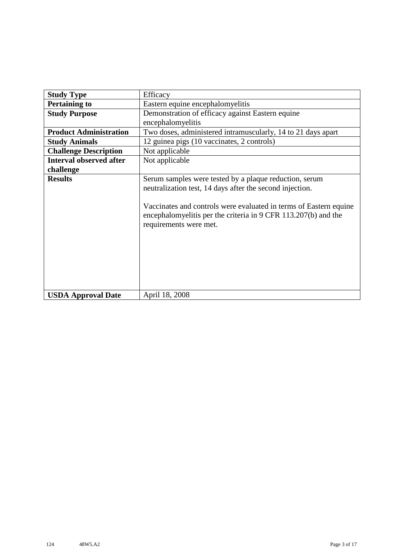| <b>Study Type</b>              | Efficacy                                                                                                                                                                                                                                                                            |
|--------------------------------|-------------------------------------------------------------------------------------------------------------------------------------------------------------------------------------------------------------------------------------------------------------------------------------|
| <b>Pertaining to</b>           | Eastern equine encephalomyelitis                                                                                                                                                                                                                                                    |
| <b>Study Purpose</b>           | Demonstration of efficacy against Eastern equine                                                                                                                                                                                                                                    |
|                                | encephalomyelitis                                                                                                                                                                                                                                                                   |
| <b>Product Administration</b>  | Two doses, administered intramuscularly, 14 to 21 days apart                                                                                                                                                                                                                        |
| <b>Study Animals</b>           | 12 guinea pigs (10 vaccinates, 2 controls)                                                                                                                                                                                                                                          |
| <b>Challenge Description</b>   | Not applicable                                                                                                                                                                                                                                                                      |
| <b>Interval observed after</b> | Not applicable                                                                                                                                                                                                                                                                      |
| challenge                      |                                                                                                                                                                                                                                                                                     |
| <b>Results</b>                 | Serum samples were tested by a plaque reduction, serum<br>neutralization test, 14 days after the second injection.<br>Vaccinates and controls were evaluated in terms of Eastern equine<br>encephalomyelitis per the criteria in 9 CFR 113.207(b) and the<br>requirements were met. |
| <b>USDA Approval Date</b>      | April 18, 2008                                                                                                                                                                                                                                                                      |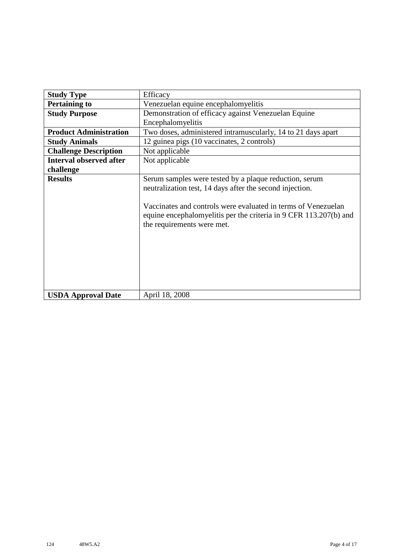| <b>Study Type</b>              | Efficacy                                                                                                                                                                                                                                                                               |
|--------------------------------|----------------------------------------------------------------------------------------------------------------------------------------------------------------------------------------------------------------------------------------------------------------------------------------|
| <b>Pertaining to</b>           | Venezuelan equine encephalomyelitis                                                                                                                                                                                                                                                    |
| <b>Study Purpose</b>           | Demonstration of efficacy against Venezuelan Equine                                                                                                                                                                                                                                    |
|                                | Encephalomyelitis                                                                                                                                                                                                                                                                      |
| <b>Product Administration</b>  | Two doses, administered intramuscularly, 14 to 21 days apart                                                                                                                                                                                                                           |
| <b>Study Animals</b>           | 12 guinea pigs (10 vaccinates, 2 controls)                                                                                                                                                                                                                                             |
| <b>Challenge Description</b>   | Not applicable                                                                                                                                                                                                                                                                         |
| <b>Interval observed after</b> | Not applicable                                                                                                                                                                                                                                                                         |
| challenge                      |                                                                                                                                                                                                                                                                                        |
| <b>Results</b>                 | Serum samples were tested by a plaque reduction, serum<br>neutralization test, 14 days after the second injection.<br>Vaccinates and controls were evaluated in terms of Venezuelan<br>equine encephalomyelitis per the criteria in 9 CFR 113.207(b) and<br>the requirements were met. |
| <b>USDA Approval Date</b>      | April 18, 2008                                                                                                                                                                                                                                                                         |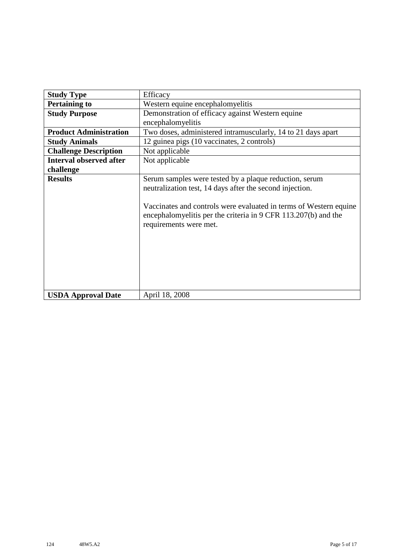| <b>Study Type</b>              | Efficacy                                                                                                                                                                                                                                                                            |
|--------------------------------|-------------------------------------------------------------------------------------------------------------------------------------------------------------------------------------------------------------------------------------------------------------------------------------|
| <b>Pertaining to</b>           | Western equine encephalomyelitis                                                                                                                                                                                                                                                    |
| <b>Study Purpose</b>           | Demonstration of efficacy against Western equine                                                                                                                                                                                                                                    |
|                                | encephalomyelitis                                                                                                                                                                                                                                                                   |
| <b>Product Administration</b>  | Two doses, administered intramuscularly, 14 to 21 days apart                                                                                                                                                                                                                        |
| <b>Study Animals</b>           | 12 guinea pigs (10 vaccinates, 2 controls)                                                                                                                                                                                                                                          |
| <b>Challenge Description</b>   | Not applicable                                                                                                                                                                                                                                                                      |
| <b>Interval observed after</b> | Not applicable                                                                                                                                                                                                                                                                      |
| challenge                      |                                                                                                                                                                                                                                                                                     |
| <b>Results</b>                 | Serum samples were tested by a plaque reduction, serum<br>neutralization test, 14 days after the second injection.<br>Vaccinates and controls were evaluated in terms of Western equine<br>encephalomyelitis per the criteria in 9 CFR 113.207(b) and the<br>requirements were met. |
| <b>USDA Approval Date</b>      | April 18, 2008                                                                                                                                                                                                                                                                      |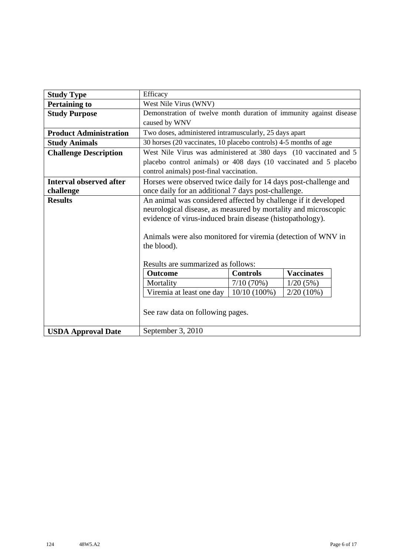| <b>Study Type</b>              | Efficacy                                                           |  |  |  |  |  |  |  |
|--------------------------------|--------------------------------------------------------------------|--|--|--|--|--|--|--|
| <b>Pertaining to</b>           | West Nile Virus (WNV)                                              |  |  |  |  |  |  |  |
| <b>Study Purpose</b>           | Demonstration of twelve month duration of immunity against disease |  |  |  |  |  |  |  |
|                                | caused by WNV                                                      |  |  |  |  |  |  |  |
| <b>Product Administration</b>  | Two doses, administered intramuscularly, 25 days apart             |  |  |  |  |  |  |  |
| <b>Study Animals</b>           | 30 horses (20 vaccinates, 10 placebo controls) 4-5 months of age   |  |  |  |  |  |  |  |
| <b>Challenge Description</b>   | West Nile Virus was administered at 380 days (10 vaccinated and 5  |  |  |  |  |  |  |  |
|                                | placebo control animals) or 408 days (10 vaccinated and 5 placebo  |  |  |  |  |  |  |  |
|                                | control animals) post-final vaccination.                           |  |  |  |  |  |  |  |
| <b>Interval observed after</b> | Horses were observed twice daily for 14 days post-challenge and    |  |  |  |  |  |  |  |
| challenge                      | once daily for an additional 7 days post-challenge.                |  |  |  |  |  |  |  |
| <b>Results</b>                 | An animal was considered affected by challenge if it developed     |  |  |  |  |  |  |  |
|                                | neurological disease, as measured by mortality and microscopic     |  |  |  |  |  |  |  |
|                                | evidence of virus-induced brain disease (histopathology).          |  |  |  |  |  |  |  |
|                                |                                                                    |  |  |  |  |  |  |  |
|                                | Animals were also monitored for viremia (detection of WNV in       |  |  |  |  |  |  |  |
|                                | the blood).                                                        |  |  |  |  |  |  |  |
|                                |                                                                    |  |  |  |  |  |  |  |
|                                | Results are summarized as follows:                                 |  |  |  |  |  |  |  |
|                                | <b>Vaccinates</b><br><b>Controls</b><br><b>Outcome</b>             |  |  |  |  |  |  |  |
|                                | Mortality<br>$7/10(70\%)$<br>1/20(5%)                              |  |  |  |  |  |  |  |
|                                | Viremia at least one day<br>$10/10(100\%)$<br>$2/20(10\%)$         |  |  |  |  |  |  |  |
|                                |                                                                    |  |  |  |  |  |  |  |
|                                | See raw data on following pages.                                   |  |  |  |  |  |  |  |
|                                |                                                                    |  |  |  |  |  |  |  |
| <b>USDA Approval Date</b>      | September 3, 2010                                                  |  |  |  |  |  |  |  |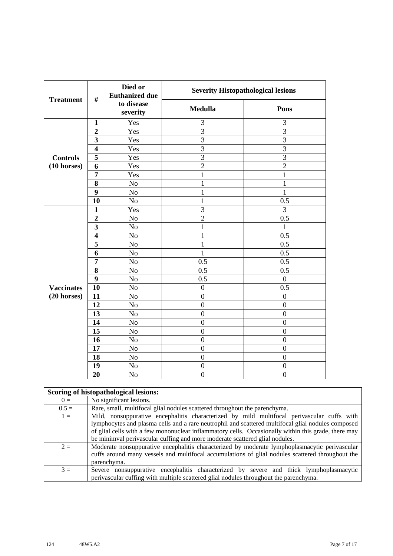| <b>Treatment</b>          | $\#$                    | Died or<br><b>Euthanized due</b> | <b>Severity Histopathological lesions</b> |                  |
|---------------------------|-------------------------|----------------------------------|-------------------------------------------|------------------|
|                           |                         | to disease<br>severity           | <b>Medulla</b>                            | Pons             |
|                           | $\mathbf{1}$            | Yes                              | 3                                         | 3                |
|                           | $\overline{2}$          | Yes                              | $\overline{3}$                            | 3                |
|                           | 3                       | Yes                              | $\overline{3}$                            | $\overline{3}$   |
|                           | $\overline{\mathbf{4}}$ | Yes                              | $\overline{3}$                            | 3                |
| <b>Controls</b>           | 5                       | Yes                              | 3                                         | $\overline{3}$   |
| $(10 \text{ horses})$     | 6                       | Yes                              | $\overline{2}$                            | $\overline{2}$   |
|                           | $\overline{7}$          | Yes                              | $\mathbf{1}$                              | $\mathbf{1}$     |
|                           | 8                       | No                               | $\mathbf{1}$                              | $\mathbf 1$      |
|                           | 9                       | No                               | $\mathbf{1}$                              | $\mathbf{1}$     |
|                           | 10                      | No                               | $\mathbf{1}$                              | 0.5              |
|                           | $\mathbf{1}$            | Yes                              | $\overline{3}$                            | 3                |
|                           | $\overline{2}$          | No                               | $\overline{2}$                            | 0.5              |
|                           | 3                       | No                               | $\mathbf{1}$                              | 1                |
|                           | $\overline{\mathbf{4}}$ | No                               | $\mathbf{1}$                              | 0.5              |
|                           | 5                       | No                               | $\mathbf{1}$                              | 0.5              |
|                           | 6                       | N <sub>o</sub>                   | $\mathbf{1}$                              | 0.5              |
|                           | 7                       | No                               | 0.5                                       | 0.5              |
|                           | 8                       | No                               | 0.5                                       | 0.5              |
|                           | 9                       | N <sub>o</sub>                   | 0.5                                       | $\boldsymbol{0}$ |
| <b>Vaccinates</b>         | 10                      | No                               | $\boldsymbol{0}$                          | $\overline{0.5}$ |
| $(20$ horses)<br>13<br>14 | 11                      | N <sub>o</sub>                   | $\overline{0}$                            | $\boldsymbol{0}$ |
|                           | 12                      | N <sub>o</sub>                   | $\boldsymbol{0}$                          | $\boldsymbol{0}$ |
|                           |                         | No                               | $\overline{0}$                            | $\boldsymbol{0}$ |
|                           |                         | N <sub>o</sub>                   | $\overline{0}$                            | $\overline{0}$   |
|                           | 15                      | No                               | $\overline{0}$                            | $\overline{0}$   |
|                           | 16                      | No                               | $\boldsymbol{0}$                          | $\boldsymbol{0}$ |
|                           | 17                      | No                               | $\overline{0}$                            | $\overline{0}$   |
|                           | 18                      | No                               | $\boldsymbol{0}$                          | $\boldsymbol{0}$ |
|                           | 19                      | No                               | $\boldsymbol{0}$                          | $\boldsymbol{0}$ |
|                           | 20                      | N <sub>o</sub>                   | $\overline{0}$                            | $\overline{0}$   |

|         | Scoring of histopathological lesions:                                                                                                                                                                                                                                                                                                                                                  |
|---------|----------------------------------------------------------------------------------------------------------------------------------------------------------------------------------------------------------------------------------------------------------------------------------------------------------------------------------------------------------------------------------------|
| $0 =$   | No significant lesions.                                                                                                                                                                                                                                                                                                                                                                |
| $0.5 =$ | Rare, small, multifocal glial nodules scattered throughout the parenchyma.                                                                                                                                                                                                                                                                                                             |
| $1 =$   | Mild, nonsuppurative encephalitis characterized by mild multifocal perivascular cuffs with<br>lymphocytes and plasma cells and a rare neutrophil and scattered multifocal glial nodules composed<br>of glial cells with a few mononuclear inflammatory cells. Occasionally within this grade, there may<br>be minimval perivascular cuffing and more moderate scattered glial nodules. |
| $2 =$   | Moderate nonsuppurative encephalitis characterized by moderate lymphoplasmacytic perivascular<br>cuffs around many vessels and multifocal accumulations of glial nodules scattered throughout the<br>parenchyma.                                                                                                                                                                       |
| $3 =$   | Severe nonsuppurative encephalitis characterized by severe and thick lymphoplasmacytic<br>perivalent parameters with multiple scattered glial nodules throughout the parenchyma.                                                                                                                                                                                                       |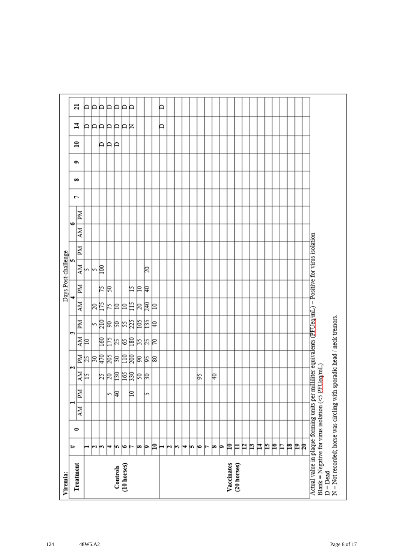| Viremia:                                                                                                                                                                           |    |           |    |    |         |                           |      |       |    |    | Days Post-challenge |    |    |           |   |   |   |              |         |    |
|------------------------------------------------------------------------------------------------------------------------------------------------------------------------------------|----|-----------|----|----|---------|---------------------------|------|-------|----|----|---------------------|----|----|-----------|---|---|---|--------------|---------|----|
| Treatment                                                                                                                                                                          | ₩  | $\bullet$ |    |    |         | N                         |      | S     |    |    | m                   |    |    | $\bullet$ | ŀ | ő | é | $\mathbf{r}$ | 4       | ដ  |
|                                                                                                                                                                                    |    |           | NИ | Md | 하       |                           | 화    | Md    | ÄМ | MI | 하                   | ZМ | NИ | Иď        |   |   |   |              |         |    |
|                                                                                                                                                                                    | ⊣  |           |    |    |         |                           |      |       |    |    |                     |    |    |           |   |   |   |              |         | A  |
|                                                                                                                                                                                    | юı |           |    |    |         |                           |      |       | βĘ |    | kβ                  |    |    |           |   |   |   |              |         | ÞÞ |
|                                                                                                                                                                                    | m  |           |    |    |         |                           |      |       |    | k  |                     |    |    |           |   |   |   | ÞР           |         |    |
|                                                                                                                                                                                    | ₩  |           |    | m  |         |                           |      |       | K  | R  |                     |    |    |           |   |   |   |              |         | Þ  |
| Controls                                                                                                                                                                           | m  |           |    | β  | 부치려의덕려석 | 1<br>11 1 1 1 1 1 1 1 1 1 | 회예검질 | 여여처처터 | 의의 |    |                     |    |    |           |   |   |   | Þ            | AAAAAAR | Þ  |
| (10 horses)                                                                                                                                                                        | ∣७ |           |    |    |         |                           |      |       |    |    |                     |    |    |           |   |   |   |              |         | P  |
|                                                                                                                                                                                    |    |           |    | ₽  |         |                           |      |       | 旨  | 匕  |                     |    |    |           |   |   |   |              |         | P  |
|                                                                                                                                                                                    | œ  |           |    |    |         |                           |      |       | R  | ₽  |                     |    |    |           |   |   |   |              |         |    |
|                                                                                                                                                                                    | þ. |           |    | m  |         | 의직의                       | おおは  | 부점력   | 尾  | ₽  | 20                  |    |    |           |   |   |   |              |         |    |
|                                                                                                                                                                                    | P  |           |    |    |         |                           |      |       | ₽  |    |                     |    |    |           |   |   |   |              |         |    |
|                                                                                                                                                                                    | ⊢  |           |    |    |         |                           |      |       |    |    |                     |    |    |           |   |   |   |              | Þ       | Þ  |
|                                                                                                                                                                                    | N  |           |    |    |         |                           |      |       |    |    |                     |    |    |           |   |   |   |              |         |    |
|                                                                                                                                                                                    | r  |           |    |    |         |                           |      |       |    |    |                     |    |    |           |   |   |   |              |         |    |
|                                                                                                                                                                                    | ↣  |           |    |    |         |                           |      |       |    |    |                     |    |    |           |   |   |   |              |         |    |
|                                                                                                                                                                                    | m  |           |    |    |         |                           |      |       |    |    |                     |    |    |           |   |   |   |              |         |    |
|                                                                                                                                                                                    | ю  |           |    |    | βŚ,     |                           |      |       |    |    |                     |    |    |           |   |   |   |              |         |    |
|                                                                                                                                                                                    | ►  |           |    |    |         |                           |      |       |    |    |                     |    |    |           |   |   |   |              |         |    |
|                                                                                                                                                                                    | þo |           |    |    | ₽       |                           |      |       |    |    |                     |    |    |           |   |   |   |              |         |    |
|                                                                                                                                                                                    | Þ  |           |    |    |         |                           |      |       |    |    |                     |    |    |           |   |   |   |              |         |    |
| Vaccinates                                                                                                                                                                         | ₽  |           |    |    |         |                           |      |       |    |    |                     |    |    |           |   |   |   |              |         |    |
| (20 horses)                                                                                                                                                                        | Ħ  |           |    |    |         |                           |      |       |    |    |                     |    |    |           |   |   |   |              |         |    |
|                                                                                                                                                                                    | P  |           |    |    |         |                           |      |       |    |    |                     |    |    |           |   |   |   |              |         |    |
|                                                                                                                                                                                    | n  |           |    |    |         |                           |      |       |    |    |                     |    |    |           |   |   |   |              |         |    |
|                                                                                                                                                                                    | Ħ  |           |    |    |         |                           |      |       |    |    |                     |    |    |           |   |   |   |              |         |    |
|                                                                                                                                                                                    | N  |           |    |    |         |                           |      |       |    |    |                     |    |    |           |   |   |   |              |         |    |
|                                                                                                                                                                                    | ρ  |           |    |    |         |                           |      |       |    |    |                     |    |    |           |   |   |   |              |         |    |
|                                                                                                                                                                                    | Ħ  |           |    |    |         |                           |      |       |    |    |                     |    |    |           |   |   |   |              |         |    |
|                                                                                                                                                                                    | p  |           |    |    |         |                           |      |       |    |    |                     |    |    |           |   |   |   |              |         |    |
|                                                                                                                                                                                    | Þ  |           |    |    |         |                           |      |       |    |    |                     |    |    |           |   |   |   |              |         |    |
|                                                                                                                                                                                    | R  |           |    |    |         |                           |      |       |    |    |                     |    |    |           |   |   |   |              |         |    |
| Actual value in plaque-forming units per milliliter equivalents (PFUeg/mL) = Positive for virus isolation<br>Blank = Negative for virus isolation ( $\leq$ PEUeg/mL)<br>$D = Dead$ |    |           |    |    |         |                           |      |       |    |    |                     |    |    |           |   |   |   |              |         |    |
| N = Not recorded; horse was circling with sporadic head / neck tremors.                                                                                                            |    |           |    |    |         |                           |      |       |    |    |                     |    |    |           |   |   |   |              |         |    |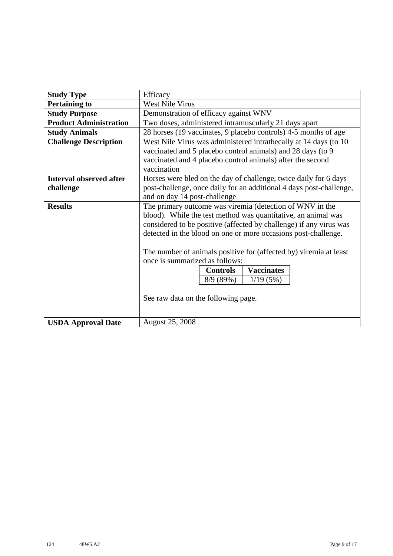| <b>Study Type</b>              | Efficacy                                                            |  |  |  |  |  |
|--------------------------------|---------------------------------------------------------------------|--|--|--|--|--|
| <b>Pertaining to</b>           | <b>West Nile Virus</b>                                              |  |  |  |  |  |
| <b>Study Purpose</b>           | Demonstration of efficacy against WNV                               |  |  |  |  |  |
| <b>Product Administration</b>  | Two doses, administered intramuscularly 21 days apart               |  |  |  |  |  |
| <b>Study Animals</b>           | 28 horses (19 vaccinates, 9 placebo controls) 4-5 months of age     |  |  |  |  |  |
| <b>Challenge Description</b>   | West Nile Virus was administered intrathecally at 14 days (to 10    |  |  |  |  |  |
|                                | vaccinated and 5 placebo control animals) and 28 days (to 9         |  |  |  |  |  |
|                                | vaccinated and 4 placebo control animals) after the second          |  |  |  |  |  |
|                                | vaccination                                                         |  |  |  |  |  |
| <b>Interval observed after</b> | Horses were bled on the day of challenge, twice daily for 6 days    |  |  |  |  |  |
| challenge                      | post-challenge, once daily for an additional 4 days post-challenge, |  |  |  |  |  |
|                                | and on day 14 post-challenge                                        |  |  |  |  |  |
| <b>Results</b>                 | The primary outcome was viremia (detection of WNV in the            |  |  |  |  |  |
|                                | blood). While the test method was quantitative, an animal was       |  |  |  |  |  |
|                                | considered to be positive (affected by challenge) if any virus was  |  |  |  |  |  |
|                                | detected in the blood on one or more occasions post-challenge.      |  |  |  |  |  |
|                                | The number of animals positive for (affected by) viremia at least   |  |  |  |  |  |
|                                | once is summarized as follows:                                      |  |  |  |  |  |
|                                | <b>Vaccinates</b><br><b>Controls</b>                                |  |  |  |  |  |
|                                | 8/9(89%)<br>1/19(5%)                                                |  |  |  |  |  |
|                                |                                                                     |  |  |  |  |  |
|                                | See raw data on the following page.                                 |  |  |  |  |  |
|                                |                                                                     |  |  |  |  |  |
|                                |                                                                     |  |  |  |  |  |
| <b>USDA Approval Date</b>      | <b>August 25, 2008</b>                                              |  |  |  |  |  |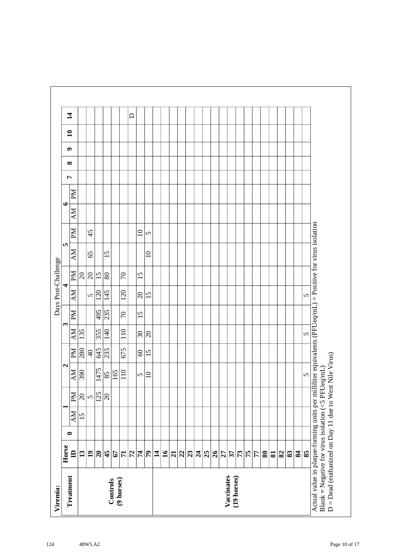| Иd<br>$\bullet$<br><b>AM</b><br>Иd<br>45<br>$\Omega$<br>5<br>S<br><b>NN</b><br>65<br>15<br>$\overline{10}$<br>ИЧ<br>$\overline{20}$<br>$\overline{15}$<br>80<br>$\mathcal{L}$<br>15<br>$\frac{1}{20}$<br>4<br><b>NN</b><br>$\overline{\phantom{120}20}$<br>145<br>120<br>$\Omega$<br>15<br>$\mathbf{v}$<br>235<br>Md<br>495<br>$\mathcal{L}$<br>$\overline{15}$<br>$\mathbf{\hat{z}}$<br><b>NN</b><br>355<br>110<br>135<br>140<br>$\sqrt{30}$<br>$\Omega$<br>675<br>235<br>$\overline{280}$<br>645<br>$\mathbb{N}$<br>$\overline{4}$<br>60<br>15 |
|--------------------------------------------------------------------------------------------------------------------------------------------------------------------------------------------------------------------------------------------------------------------------------------------------------------------------------------------------------------------------------------------------------------------------------------------------------------------------------------------------------------------------------------------------|
|                                                                                                                                                                                                                                                                                                                                                                                                                                                                                                                                                  |
|                                                                                                                                                                                                                                                                                                                                                                                                                                                                                                                                                  |
|                                                                                                                                                                                                                                                                                                                                                                                                                                                                                                                                                  |
|                                                                                                                                                                                                                                                                                                                                                                                                                                                                                                                                                  |
|                                                                                                                                                                                                                                                                                                                                                                                                                                                                                                                                                  |
|                                                                                                                                                                                                                                                                                                                                                                                                                                                                                                                                                  |
|                                                                                                                                                                                                                                                                                                                                                                                                                                                                                                                                                  |
|                                                                                                                                                                                                                                                                                                                                                                                                                                                                                                                                                  |
|                                                                                                                                                                                                                                                                                                                                                                                                                                                                                                                                                  |
|                                                                                                                                                                                                                                                                                                                                                                                                                                                                                                                                                  |
|                                                                                                                                                                                                                                                                                                                                                                                                                                                                                                                                                  |
|                                                                                                                                                                                                                                                                                                                                                                                                                                                                                                                                                  |
|                                                                                                                                                                                                                                                                                                                                                                                                                                                                                                                                                  |
|                                                                                                                                                                                                                                                                                                                                                                                                                                                                                                                                                  |
|                                                                                                                                                                                                                                                                                                                                                                                                                                                                                                                                                  |
|                                                                                                                                                                                                                                                                                                                                                                                                                                                                                                                                                  |
|                                                                                                                                                                                                                                                                                                                                                                                                                                                                                                                                                  |
|                                                                                                                                                                                                                                                                                                                                                                                                                                                                                                                                                  |
|                                                                                                                                                                                                                                                                                                                                                                                                                                                                                                                                                  |
|                                                                                                                                                                                                                                                                                                                                                                                                                                                                                                                                                  |
|                                                                                                                                                                                                                                                                                                                                                                                                                                                                                                                                                  |
|                                                                                                                                                                                                                                                                                                                                                                                                                                                                                                                                                  |
|                                                                                                                                                                                                                                                                                                                                                                                                                                                                                                                                                  |
|                                                                                                                                                                                                                                                                                                                                                                                                                                                                                                                                                  |
|                                                                                                                                                                                                                                                                                                                                                                                                                                                                                                                                                  |
|                                                                                                                                                                                                                                                                                                                                                                                                                                                                                                                                                  |
|                                                                                                                                                                                                                                                                                                                                                                                                                                                                                                                                                  |
|                                                                                                                                                                                                                                                                                                                                                                                                                                                                                                                                                  |
|                                                                                                                                                                                                                                                                                                                                                                                                                                                                                                                                                  |
| $\sqrt{ }$<br>$\Omega$                                                                                                                                                                                                                                                                                                                                                                                                                                                                                                                           |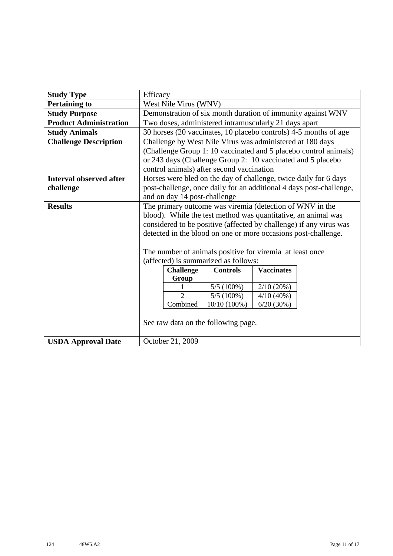| <b>Study Type</b>              | Efficacy                                                 |                              |                                                                |           |                                                                     |  |  |
|--------------------------------|----------------------------------------------------------|------------------------------|----------------------------------------------------------------|-----------|---------------------------------------------------------------------|--|--|
| <b>Pertaining to</b>           |                                                          | West Nile Virus (WNV)        |                                                                |           |                                                                     |  |  |
| <b>Study Purpose</b>           |                                                          |                              |                                                                |           | Demonstration of six month duration of immunity against WNV         |  |  |
| <b>Product Administration</b>  |                                                          |                              | Two doses, administered intramuscularly 21 days apart          |           |                                                                     |  |  |
| <b>Study Animals</b>           |                                                          |                              |                                                                |           | 30 horses (20 vaccinates, 10 placebo controls) 4-5 months of age    |  |  |
| <b>Challenge Description</b>   |                                                          |                              | Challenge by West Nile Virus was administered at 180 days      |           |                                                                     |  |  |
|                                |                                                          |                              |                                                                |           | (Challenge Group 1: 10 vaccinated and 5 placebo control animals)    |  |  |
|                                |                                                          |                              | or 243 days (Challenge Group 2: 10 vaccinated and 5 placebo    |           |                                                                     |  |  |
|                                |                                                          |                              | control animals) after second vaccination                      |           |                                                                     |  |  |
| <b>Interval observed after</b> |                                                          |                              |                                                                |           | Horses were bled on the day of challenge, twice daily for 6 days    |  |  |
| challenge                      |                                                          |                              |                                                                |           | post-challenge, once daily for an additional 4 days post-challenge, |  |  |
|                                |                                                          | and on day 14 post-challenge |                                                                |           |                                                                     |  |  |
| <b>Results</b>                 |                                                          |                              | The primary outcome was viremia (detection of $WNV$ in the     |           |                                                                     |  |  |
|                                |                                                          |                              | blood). While the test method was quantitative, an animal was  |           |                                                                     |  |  |
|                                |                                                          |                              |                                                                |           | considered to be positive (affected by challenge) if any virus was  |  |  |
|                                |                                                          |                              | detected in the blood on one or more occasions post-challenge. |           |                                                                     |  |  |
|                                |                                                          |                              |                                                                |           |                                                                     |  |  |
|                                |                                                          |                              | The number of animals positive for viremia at least once       |           |                                                                     |  |  |
|                                |                                                          |                              | (affected) is summarized as follows:                           |           |                                                                     |  |  |
|                                | <b>Vaccinates</b><br><b>Challenge</b><br><b>Controls</b> |                              |                                                                |           |                                                                     |  |  |
|                                |                                                          | Group                        |                                                                |           |                                                                     |  |  |
|                                | 5/5(100%)<br>2/10(20%)<br>$\overline{2}$                 |                              |                                                                |           |                                                                     |  |  |
|                                | $5/5(100\%)$<br>4/10(40%)<br>Combined                    |                              |                                                                |           |                                                                     |  |  |
|                                |                                                          |                              | $10/10(100\%)$                                                 | 6/20(30%) |                                                                     |  |  |
|                                |                                                          |                              | See raw data on the following page.                            |           |                                                                     |  |  |
|                                |                                                          |                              |                                                                |           |                                                                     |  |  |
| <b>USDA Approval Date</b>      |                                                          | October 21, 2009             |                                                                |           |                                                                     |  |  |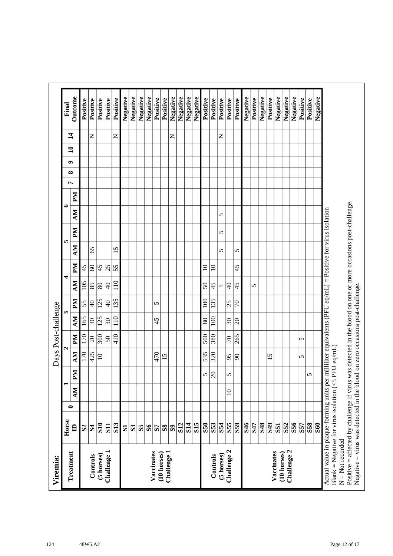|                     | Final | Outcome        | Positive     | Positive            | Positive         | Positive                 | Positive        | Negative     | Negative       | Negative     | Negative     | Positive                  | Positive     | Negative     | Negative   | Negative   | Negative        | Positive   | Positive         | Positive   | Positive                 | Positive                | Negative | Positive | Negative   | Positive        | Negative                | Negative                   | Negative | Positive | Positive   | Negative   |
|---------------------|-------|----------------|--------------|---------------------|------------------|--------------------------|-----------------|--------------|----------------|--------------|--------------|---------------------------|--------------|--------------|------------|------------|-----------------|------------|------------------|------------|--------------------------|-------------------------|----------|----------|------------|-----------------|-------------------------|----------------------------|----------|----------|------------|------------|
|                     |       | $\sharp$       |              | z                   |                  |                          | $\mathsf{z}$    |              |                |              |              |                           |              | z            |            |            |                 |            |                  | z          |                          |                         |          |          |            |                 |                         |                            |          |          |            |            |
|                     |       | $\mathbf{a}$   |              |                     |                  |                          |                 |              |                |              |              |                           |              |              |            |            |                 |            |                  |            |                          |                         |          |          |            |                 |                         |                            |          |          |            |            |
|                     |       | ๑              |              |                     |                  |                          |                 |              |                |              |              |                           |              |              |            |            |                 |            |                  |            |                          |                         |          |          |            |                 |                         |                            |          |          |            |            |
|                     |       | ∞              |              |                     |                  |                          |                 |              |                |              |              |                           |              |              |            |            |                 |            |                  |            |                          |                         |          |          |            |                 |                         |                            |          |          |            |            |
|                     |       | Ļ              |              |                     |                  |                          |                 |              |                |              |              |                           |              |              |            |            |                 |            |                  |            |                          |                         |          |          |            |                 |                         |                            |          |          |            |            |
|                     | ७     | $\mathbb{N}$   |              |                     |                  |                          |                 |              |                |              |              |                           |              |              |            |            |                 |            |                  |            |                          |                         |          |          |            |                 |                         |                            |          |          |            |            |
|                     |       | NИ             |              |                     |                  |                          |                 |              |                |              |              |                           |              |              |            |            |                 |            |                  | 5          |                          |                         |          |          |            |                 |                         |                            |          |          |            |            |
|                     |       | PМ             |              |                     |                  |                          |                 |              |                |              |              |                           |              |              |            |            |                 |            |                  | 5          |                          |                         |          |          |            |                 |                         |                            |          |          |            |            |
|                     | In.   | MУ             |              | 65                  |                  |                          | 15              |              |                |              |              |                           |              |              |            |            |                 |            |                  | 5          |                          | 5                       |          |          |            |                 |                         |                            |          |          |            |            |
|                     |       | Md             | 45           | $\pmb{\mathcal{S}}$ | 45               | 25                       | $\overline{55}$ |              |                |              |              |                           |              |              |            |            |                 | $\Xi$      | $\overline{10}$  |            |                          | 45                      |          |          |            |                 |                         |                            |          |          |            |            |
|                     | 4     | NИ             | 105          | 85                  | $\overline{80}$  | $\Theta$                 | 110             |              |                |              |              |                           |              |              |            |            |                 | $50\,$     | 45               | ທ∣         | ੩                        | 45                      |          | 5        |            |                 |                         |                            |          |          |            |            |
|                     |       | Md             | 55           | $\overline{4}$      | $\overline{125}$ | $\Theta$                 | 135             |              |                |              |              | 5                         |              |              |            |            |                 | 100        | 135              |            | 25                       | $ \varepsilon$          |          |          |            |                 |                         |                            |          |          |            |            |
| Days Post-challenge | S     |                |              |                     |                  |                          |                 |              |                |              |              |                           |              |              |            |            |                 |            |                  |            |                          |                         |          |          |            |                 |                         |                            |          |          |            |            |
|                     |       | NИ             | 165          | 30                  | 125              | $\overline{\mathcal{E}}$ | 110             |              |                |              |              | 45                        |              |              |            |            |                 | 80         | 100              |            | $\overline{\mathcal{E}}$ | $ \mathcal{S} $         |          |          |            |                 |                         |                            |          |          |            |            |
|                     | 4     | Md             | 170          | $\overline{c}$      | 300              | $50\,$                   | 410             |              |                |              |              |                           |              |              |            |            |                 | 500        | 380              |            | $\overline{70}$          | 265                     |          |          |            |                 |                         |                            |          | 5        |            |            |
|                     |       | MV             | 170          | 425                 | $\overline{10}$  |                          |                 |              |                |              |              | 470                       | 15           |              |            |            |                 | 535        | $\overline{320}$ |            | 95                       | $ \mathcal{S} $         |          |          |            | 15              |                         |                            |          | 5        |            |            |
|                     |       | NЧ             |              |                     |                  |                          |                 |              |                |              |              |                           |              |              |            |            |                 | 5          | $ \mathcal{S} $  |            | 5                        |                         |          |          |            |                 |                         |                            |          |          | 5          |            |
|                     |       | MV             |              |                     |                  |                          |                 |              |                |              |              |                           |              |              |            |            |                 |            |                  |            | $\supseteq$              |                         |          |          |            |                 |                         |                            |          |          |            |            |
|                     |       | 0              |              |                     |                  |                          |                 |              |                |              |              |                           |              |              |            |            |                 |            |                  |            |                          |                         |          |          |            |                 |                         |                            |          |          |            |            |
|                     | Horse | $\blacksquare$ | $\mathbf{S}$ | $\mathbf{R}$        | S <sub>10</sub>  | <b>S11</b>               | <b>S13</b>      | $\mathbf{S}$ | S <sub>3</sub> | $\mathbf{S}$ | $\mathbf{S}$ | 57                        | $\mathbf{S}$ | $\mathbf{S}$ | <b>S12</b> | <b>S14</b> | S <sub>15</sub> | <b>S50</b> | S53              | S54        | S <sub>55</sub>          | $\overline{\textbf{S}}$ | 846      | S47      | <b>S48</b> | S <sub>49</sub> | $\overline{\textbf{S}}$ | <b>S52</b>                 | S56      | S57      | <b>S58</b> | <b>S60</b> |
| Viremia:            |       | Treatment      |              | Controls            | (5 horses)       | Challenge 1              |                 |              |                |              |              | Vaccinates<br>(10 horses) |              | Challenge 1  |            |            |                 |            | Controls         | (5 horses) | Challenge 2              |                         |          |          |            |                 | Vaccinates              | Challenge 2<br>(10 horses) |          |          |            |            |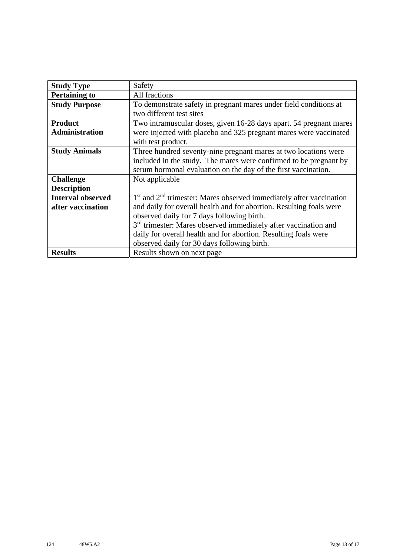| <b>Study Type</b>        | Safety                                                                      |
|--------------------------|-----------------------------------------------------------------------------|
| <b>Pertaining to</b>     | All fractions                                                               |
| <b>Study Purpose</b>     | To demonstrate safety in pregnant mares under field conditions at           |
|                          | two different test sites                                                    |
| <b>Product</b>           | Two intramuscular doses, given 16-28 days apart. 54 pregnant mares          |
| <b>Administration</b>    | were injected with placebo and 325 pregnant mares were vaccinated           |
|                          | with test product.                                                          |
| <b>Study Animals</b>     | Three hundred seventy-nine pregnant mares at two locations were             |
|                          | included in the study. The mares were confirmed to be pregnant by           |
|                          | serum hormonal evaluation on the day of the first vaccination.              |
| <b>Challenge</b>         | Not applicable                                                              |
| <b>Description</b>       |                                                                             |
| <b>Interval observed</b> | $1st$ and $2nd$ trimester: Mares observed immediately after vaccination     |
| after vaccination        | and daily for overall health and for abortion. Resulting foals were         |
|                          | observed daily for 7 days following birth.                                  |
|                          | 3 <sup>rd</sup> trimester: Mares observed immediately after vaccination and |
|                          | daily for overall health and for abortion. Resulting foals were             |
|                          | observed daily for 30 days following birth.                                 |
| <b>Results</b>           | Results shown on next page                                                  |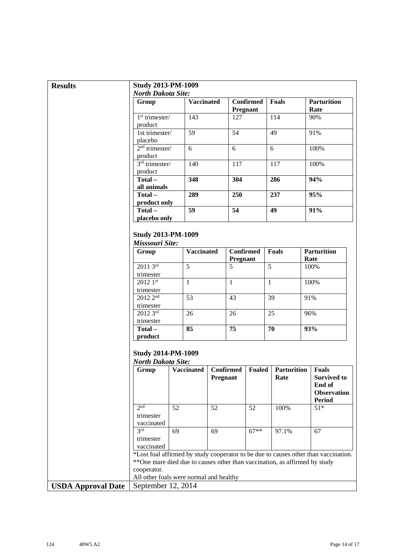| <b>Results</b>            | <b>Study 2013-PM-1009</b>                              |                                                                             |          |                              |                              |                            |                                                                                     |
|---------------------------|--------------------------------------------------------|-----------------------------------------------------------------------------|----------|------------------------------|------------------------------|----------------------------|-------------------------------------------------------------------------------------|
|                           | <b>North Dakota Site:</b>                              |                                                                             |          |                              |                              |                            |                                                                                     |
|                           | Group                                                  | <b>Vaccinated</b>                                                           |          |                              | <b>Confirmed</b><br>Pregnant | Foals                      | <b>Parturition</b><br>Rate                                                          |
|                           | $1st$ trimester/<br>product                            | 143                                                                         |          | 127                          |                              | 114                        | 90%                                                                                 |
|                           | 1st trimester/<br>placebo                              | 59                                                                          |          | 54                           |                              | 49                         | 91%                                                                                 |
|                           | $2nd$ trimester/<br>product                            | 6                                                                           |          | 6                            |                              | 6                          | 100%                                                                                |
|                           | $3rd$ trimester/<br>product                            | 140                                                                         |          | 117                          |                              | 117                        | 100%                                                                                |
|                           | Total-<br>all animals                                  | 348                                                                         |          | 304                          |                              | 286                        | 94%                                                                                 |
|                           | Total-                                                 | 289                                                                         |          | 250                          |                              | 237                        | 95%                                                                                 |
|                           | product only<br>Total-                                 | 59                                                                          |          | 54                           |                              | 49                         | 91%                                                                                 |
|                           | placebo only                                           |                                                                             |          |                              |                              |                            |                                                                                     |
|                           | <b>Study 2013-PM-1009</b><br>Misssouri Site:           |                                                                             |          |                              |                              |                            |                                                                                     |
|                           | Group                                                  | <b>Vaccinated</b>                                                           |          | <b>Confirmed</b><br>Pregnant |                              | <b>Foals</b>               | <b>Parturition</b><br>Rate                                                          |
|                           | $20113^{rd}$<br>trimester                              | 5                                                                           |          | 5                            |                              | 5                          | 100%                                                                                |
|                           | $20121$ st<br>trimester                                | $\mathbf{1}$                                                                |          | $\mathbf{1}$                 |                              | $\mathbf{1}$               | 100%                                                                                |
|                           | 2012 2 <sup>nd</sup><br>trimester                      | $\overline{53}$                                                             |          | 43                           |                              | 39                         | 91%                                                                                 |
|                           | 2012 3rd                                               | 26                                                                          |          | 26                           |                              | 25                         | 96%                                                                                 |
|                           | trimester<br>Total-<br>product                         | 85                                                                          |          | 75                           |                              | 70                         | 93%                                                                                 |
|                           | <b>Study 2014-PM-1009</b><br><b>North Dakota Site:</b> |                                                                             |          |                              |                              |                            |                                                                                     |
|                           | Group                                                  | <b>Vaccinated</b>                                                           | Pregnant | <b>Confirmed</b>             | Foaled                       | <b>Parturition</b><br>Rate | <b>Foals</b><br><b>Survived to</b><br>End of<br><b>Observation</b><br><b>Period</b> |
|                           | 2 <sub>nd</sub><br>trimester                           | 52                                                                          | 52       |                              | 52                           | 100%                       | $51*$                                                                               |
|                           | vaccinated<br>3rd<br>trimester<br>vaccinated           | 69                                                                          | 69       |                              | $67**$                       | 97.1%                      | 67                                                                                  |
|                           | cooperator.                                            | ** One mare died due to causes other than vaccination, as affirmed by study |          |                              |                              |                            | *Lost foal affirmed by study cooperator to be due to causes other than vaccination. |
|                           |                                                        | All other foals were normal and healthy                                     |          |                              |                              |                            |                                                                                     |
| <b>USDA Approval Date</b> | September 12, 2014                                     |                                                                             |          |                              |                              |                            |                                                                                     |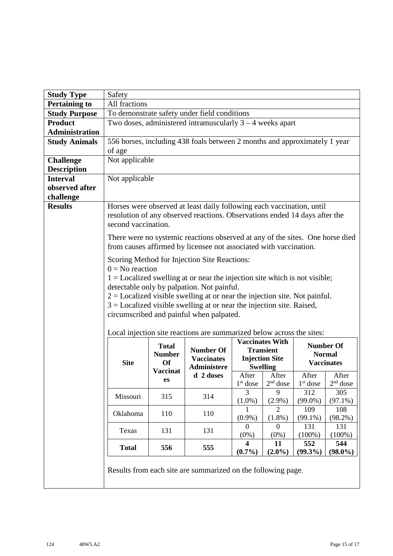| <b>Study Type</b>     | Safety              |                                                               |                                                                                                                                                                                                                                                                                                                                                                                   |                                      |                                                                                        |                   |                                                        |
|-----------------------|---------------------|---------------------------------------------------------------|-----------------------------------------------------------------------------------------------------------------------------------------------------------------------------------------------------------------------------------------------------------------------------------------------------------------------------------------------------------------------------------|--------------------------------------|----------------------------------------------------------------------------------------|-------------------|--------------------------------------------------------|
| <b>Pertaining to</b>  | All fractions       |                                                               |                                                                                                                                                                                                                                                                                                                                                                                   |                                      |                                                                                        |                   |                                                        |
| <b>Study Purpose</b>  |                     |                                                               | To demonstrate safety under field conditions                                                                                                                                                                                                                                                                                                                                      |                                      |                                                                                        |                   |                                                        |
| <b>Product</b>        |                     |                                                               | Two doses, administered intramuscularly $3 - 4$ weeks apart                                                                                                                                                                                                                                                                                                                       |                                      |                                                                                        |                   |                                                        |
| <b>Administration</b> |                     |                                                               |                                                                                                                                                                                                                                                                                                                                                                                   |                                      |                                                                                        |                   |                                                        |
| <b>Study Animals</b>  |                     |                                                               | 556 horses, including 438 foals between 2 months and approximately 1 year                                                                                                                                                                                                                                                                                                         |                                      |                                                                                        |                   |                                                        |
|                       | of age              |                                                               |                                                                                                                                                                                                                                                                                                                                                                                   |                                      |                                                                                        |                   |                                                        |
| <b>Challenge</b>      | Not applicable      |                                                               |                                                                                                                                                                                                                                                                                                                                                                                   |                                      |                                                                                        |                   |                                                        |
| <b>Description</b>    |                     |                                                               |                                                                                                                                                                                                                                                                                                                                                                                   |                                      |                                                                                        |                   |                                                        |
| <b>Interval</b>       | Not applicable      |                                                               |                                                                                                                                                                                                                                                                                                                                                                                   |                                      |                                                                                        |                   |                                                        |
| observed after        |                     |                                                               |                                                                                                                                                                                                                                                                                                                                                                                   |                                      |                                                                                        |                   |                                                        |
| challenge             |                     |                                                               |                                                                                                                                                                                                                                                                                                                                                                                   |                                      |                                                                                        |                   |                                                        |
| <b>Results</b>        | second vaccination. |                                                               | Horses were observed at least daily following each vaccination, until<br>resolution of any observed reactions. Observations ended 14 days after the                                                                                                                                                                                                                               |                                      |                                                                                        |                   |                                                        |
|                       |                     |                                                               | There were no systemic reactions observed at any of the sites. One horse died<br>from causes affirmed by licensee not associated with vaccination.                                                                                                                                                                                                                                |                                      |                                                                                        |                   |                                                        |
|                       | $0 = No$ reaction   |                                                               | Scoring Method for Injection Site Reactions:<br>$1 =$ Localized swelling at or near the injection site which is not visible;<br>detectable only by palpation. Not painful.<br>$2 =$ Localized visible swelling at or near the injection site. Not painful.<br>$3 =$ Localized visible swelling at or near the injection site. Raised,<br>circumscribed and painful when palpated. |                                      |                                                                                        |                   |                                                        |
|                       | <b>Site</b>         | <b>Total</b><br><b>Number</b><br><b>Of</b><br><b>Vaccinat</b> | Local injection site reactions are summarized below across the sites:<br><b>Number Of</b><br><b>Vaccinates</b><br><b>Administere</b>                                                                                                                                                                                                                                              |                                      | <b>Vaccinates With</b><br><b>Transient</b><br><b>Injection Site</b><br><b>Swelling</b> |                   | <b>Number Of</b><br><b>Normal</b><br><b>Vaccinates</b> |
|                       |                     | es                                                            | d 2 doses                                                                                                                                                                                                                                                                                                                                                                         | After                                | After                                                                                  | After             | After                                                  |
|                       |                     |                                                               |                                                                                                                                                                                                                                                                                                                                                                                   | $1st$ dose                           | $2nd$ dose                                                                             | $1st$ dose        | $2nd$ dose                                             |
|                       | Missouri            | 315                                                           | 314                                                                                                                                                                                                                                                                                                                                                                               | 3                                    | 9                                                                                      | 312               | 305                                                    |
|                       |                     |                                                               |                                                                                                                                                                                                                                                                                                                                                                                   | $(1.0\%)$                            | $(2.9\%)$<br>$\overline{2}$                                                            | $(99.0\%)$<br>109 | $(97.1\%)$<br>108                                      |
|                       | Oklahoma            | 110                                                           | 110                                                                                                                                                                                                                                                                                                                                                                               | $(0.9\%)$                            | $(1.8\%)$                                                                              | $(99.1\%)$        | (98.2%)                                                |
|                       | Texas               | 131                                                           | 131                                                                                                                                                                                                                                                                                                                                                                               | $\Omega$<br>$(0\%)$                  | $\boldsymbol{0}$<br>$(0\%)$                                                            | 131<br>$(100\%)$  | 131<br>$(100\%)$                                       |
|                       | <b>Total</b>        | 556                                                           | 555                                                                                                                                                                                                                                                                                                                                                                               | $\overline{\mathbf{4}}$<br>$(0.7\%)$ | 11<br>$(2.0\%)$                                                                        | 552<br>$(99.3\%)$ | 544<br>$(98.0\%)$                                      |
|                       |                     |                                                               | Results from each site are summarized on the following page.                                                                                                                                                                                                                                                                                                                      |                                      |                                                                                        |                   |                                                        |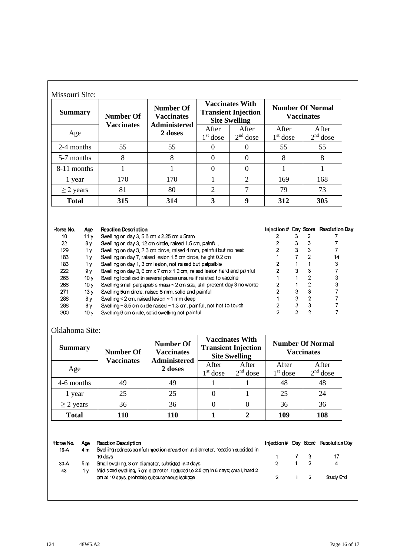| <b>Summary</b> | <b>Number Of</b>  | <b>Number Of</b><br><b>Vaccinates</b> |                     | <b>Vaccinates With</b><br><b>Transient Injection</b><br><b>Site Swelling</b> |                     | <b>Number Of Normal</b><br><b>Vaccinates</b> |
|----------------|-------------------|---------------------------------------|---------------------|------------------------------------------------------------------------------|---------------------|----------------------------------------------|
| Age            | <b>Vaccinates</b> | <b>Administered</b><br>2 doses        | After<br>$1st$ dose | After<br>$2nd$ dose                                                          | After<br>$1st$ dose | After<br>$2nd$ dose                          |
| 2-4 months     | 55                | 55                                    | $\Omega$            |                                                                              | 55                  | 55                                           |
| 5-7 months     | 8                 | 8                                     | $\theta$            | $\Omega$                                                                     | 8                   | 8                                            |
| 8-11 months    |                   |                                       | $\Omega$            | $\Omega$                                                                     |                     |                                              |
| 1 year         | 170               | 170                                   |                     | $\overline{2}$                                                               | 169                 | 168                                          |
| $\geq$ 2 years | 81                | 80                                    | 2                   | $\tau$                                                                       | 79                  | 73                                           |
| <b>Total</b>   | 315               | 314                                   | 3                   | 9                                                                            | 312                 | 305                                          |

| Horse No. | Age             | <b>Reaction Description</b>                                                   |   | Injection # Day Score Resolution Day |
|-----------|-----------------|-------------------------------------------------------------------------------|---|--------------------------------------|
| 10        | 11 v            | Swelling on day 3, 5.5 cm x 2.25 cm x 5mm                                     |   |                                      |
| 22        | 8γ              | Swelling on day 3, 12 cm circle, raised 1.5 cm, painful,                      |   |                                      |
| 129       | 1٧              | Swelling on day 3, 2.3 cm circle, raised 4 mm, painful but no heat            |   |                                      |
| 183       | 1 v             | Swelling on day 7, raised lesion 1.5 cm circle, height 0.2 cm                 |   | 14                                   |
| 183       | 1 v             | Swelling on day 1, 3 cm lesion, not raised but palpalble                      |   | 3                                    |
| 222       | 9ν              | Swelling on day 3, 6 cm x 7 cm x 1.2 cm, raised lesion hard and painful       |   |                                      |
| 266       | 10 v            | Swelling localized in several places unsure if related to vaccine             |   |                                      |
| 266       | 10v             | Swelling small palpapable mass $\sim$ 2 cm size, still present day 3 no worse |   |                                      |
| 271       | 13 v            | Swelling 5cm circle, raised 5 mm, solid and painful                           |   |                                      |
| 288       | 8γ              | Swelling < $2$ cm, raised lesion $\sim$ 1 mm deep                             | ٩ |                                      |
| 288       | 8ν              | Swelling $\sim$ 8.5 cm circle raised $\sim$ 1.3 cm, painful, not hot to touch |   |                                      |
| 300       | 10 <sub>V</sub> | Swelling 6 cm circle, solid swelling not painful                              |   |                                      |

## Oklahoma Site:

| <b>Summary</b> | <b>Number Of</b><br><b>Vaccinates</b> | <b>Number Of</b><br><b>Vaccinates</b><br><b>Administered</b> |                     | <b>Vaccinates With</b><br><b>Transient Injection</b><br><b>Site Swelling</b> |                     | <b>Number Of Normal</b><br><b>Vaccinates</b> |
|----------------|---------------------------------------|--------------------------------------------------------------|---------------------|------------------------------------------------------------------------------|---------------------|----------------------------------------------|
| Age            |                                       | 2 doses                                                      | After<br>$1st$ dose | After<br>$2nd$ dose                                                          | After<br>$1st$ dose | After<br>$2nd$ dose                          |
| 4-6 months     | 49                                    | 49                                                           |                     |                                                                              | 48                  | 48                                           |
| 1 year         | 25                                    | 25                                                           |                     |                                                                              | 25                  | 24                                           |
| $\geq$ 2 years | 36                                    | 36                                                           |                     | 0                                                                            | 36                  | 36                                           |
| <b>Total</b>   | 110                                   | 110                                                          |                     |                                                                              | 109                 | 108                                          |

Horse No. Age **Reaction Description** Injection # Day Score Resolution Day Swelling redness painful injection area 6 cm in diameter, reaction subsided in 19-A  $4<sub>m</sub>$ 10 days  $\mathbf 3$  $17$  $\overline{7}$  $\ddot{\text{1}}$  $\mathbf 2$ 33-A  $5m$ Small swelling, 3 cm diameter, subsided in 3 days  $\mathbf 2$  $\mathbf{1}$ 4 Mid-sized swelling, 5 cm diameter, reduced to 2.5 cm in 6 days; small, hard 2 43 1 y Study End  $\mathbf 2$  $\mathbf 2$ cm at 10 days, probable subcutaneous leakage  $\mathbf{1}$